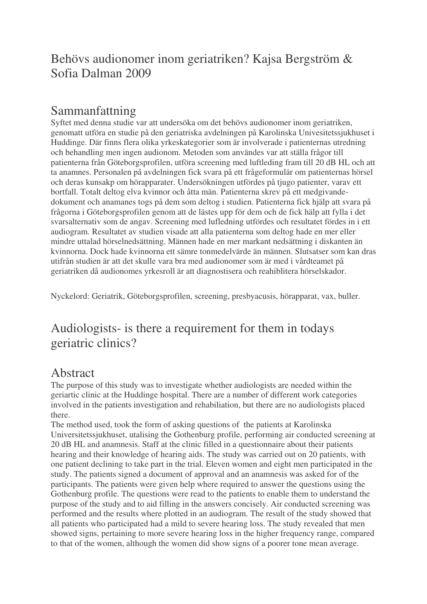## Behövs audionomer inom geriatriken? Kajsa Bergström & Sofia Dalman 2009

## Sammanfattning

Syftet med denna studie var att undersöka om det behövs audionomer inom geriatriken, genomatt utföra en studie på den geriatriska avdelningen på Karolinska Univesitetssjukhuset i Huddinge. Där finns flera olika yrkeskategorier som är involverade i patienternas utredning och behandling men ingen audionom. Metoden som användes var att ställa frågor till patienterna från Göteborgsprofilen, utföra screening med luftleding fram till 20 dB HL och att ta anamnes. Personalen på avdelningen fick svara på ett frågeformulär om patienternas hörsel och deras kunsakp om hörapparater. Undersökningen utfördes på tjugo patienter, varav ett bortfall. Totalt deltog elva kvinnor och åtta män. Patienterna skrev på ett medgivandedokument och anamanes togs på dem som deltog i studien. Patienterna fick hjälp att svara på frågorna i Göteborgsprofilen genom att de lästes upp för dem och de fick hälp att fylla i det svarsalternativ som de angav. Screening med lufledning utfördes och resultatet fördes in i ett audiogram. Resultatet av studien visade att alla patienterna som deltog hade en mer eller mindre uttalad hörselnedsättning. Männen hade en mer markant nedsättning i diskanten än kvinnorna. Dock hade kvinnorna ett sämre tonmedelvärde än männen. Slutsatser som kan dras utifrån studien är att det skulle vara bra med audionomer som är med i vårdteamet på geriatriken då audionomes yrkesroll är att diagnostisera och reahiblitera hörselskador.

Nyckelord: Geriatrik, Göteborgsprofilen, screening, presbyacusis, hörapparat, vax, buller.

## Audiologists- is there a requirement for them in todays geriatric clinics?

## Abstract

The purpose of this study was to investigate whether audiologists are needed within the geriartic clinic at the Huddinge hospital. There are a number of different work categories involved in the patients investigation and rehabiliation, but there are no audiologists placed there.

The method used, took the form of asking questions of the patients at Karolinska Universitetssjukhuset, utalising the Gothenburg profile, performing air conducted screening at 20 dB HL and anamnesis. Staff at the clinic filled in a questionnaire about their patients hearing and their knowledge of hearing aids. The study was carried out on 20 patients, with one patient declining to take part in the trial. Eleven women and eight men participated in the study. The patients signed a document of approval and an anamnesis was asked for of the participants. The patients were given help where required to answer the questions using the Gothenburg profile. The questions were read to the patients to enable them to understand the purpose of the study and to aid filling in the answers concisely. Air conducted screening was performed and the results where plotted in an audiogram. The result of the study showed that all patients who participated had a mild to severe hearing loss. The study revealed that men showed signs, pertaining to more severe hearing loss in the higher frequency range, compared to that of the women, although the women did show signs of a poorer tone mean average.